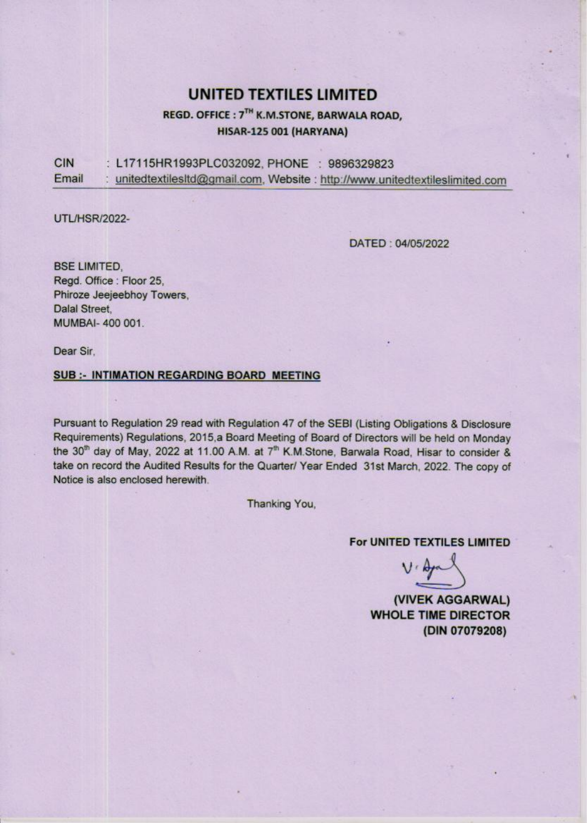## UNITED TEXTILES LIMITED

### REGD. OFFICE : 7™ K.M.STONE, BARWALA ROAD, HISAR-125 001 (HARYANA)

UNITED TEXT<br>
REGD. OFFICE : 7<sup>TH</sup> K.M.S<br>
HISAR-125 00<br>
CIN : L17115HR1993PLC032092, PH<br>
Email : <u>unitedtextilesItd@gmail.com</u>, We CIN : L17115HR1993PLC032092, PHONE : 9896329823 Email : unitedtextilesitd@gmail.com, Website : http://www.unitedtextileslimited.com

UTU/HSR/2022-

DATED : 04/05/2022

BSE LIMITED,<br>Regd. Office : Floor 25,<br>Phiroze Jeejeebhoy Towers,<br>Dalal Street,<br>MUMBAI- 400 001.

Dear Sir,

### SUB :- INTIMATION REGARDING BOARD MEETING

Pursuant to Regulation 29 read with Regulation 47 of the SEBI (Listing Obligations & Disclosure Requirements) Regulations, 2015,a Board Meeting of Board of Directors will be held on Monday the 30<sup>th</sup> day of May, 2022 at 11.00 A.M. at 7<sup>th</sup> K.M.Stone, Barwala Road, Hisar to consider & take on record the Audited Results for the Quarter/ Year Ended 31st March, 2022. The copy of Notice is also enclosed herewith.

Thanking You,

For UNITED TEXTILES LIMITED

 $V \nleftrightarrow$ <br>
(VIVEK AGGARWAL)<br>
WHOLE TIME DIRECTOR<br>
(DIN 07079208)